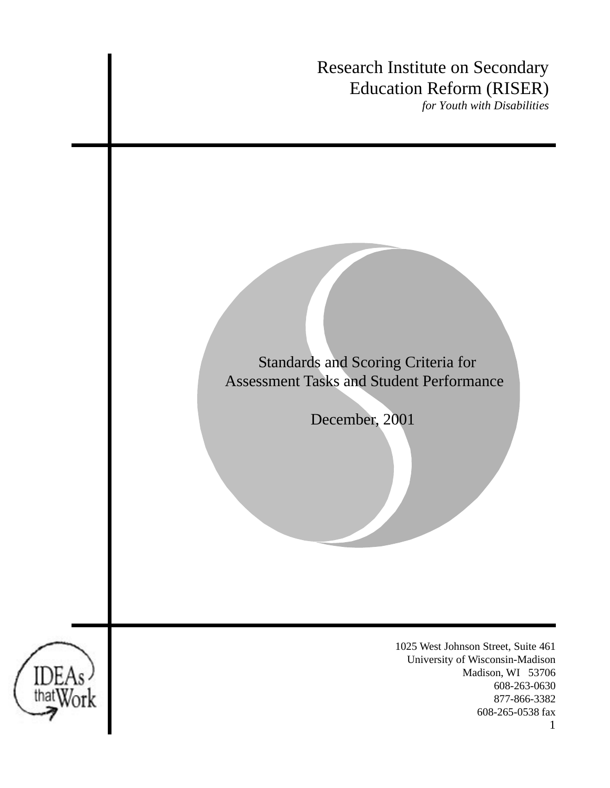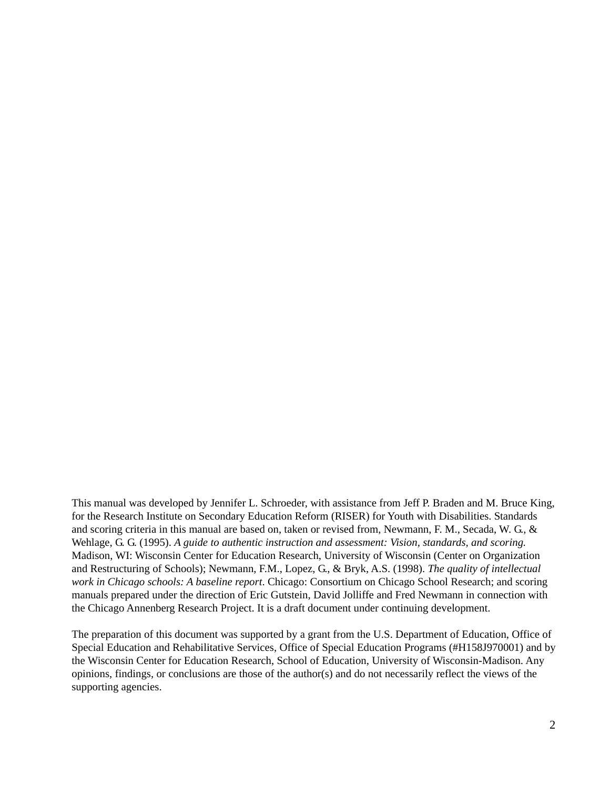This manual was developed by Jennifer L. Schroeder, with assistance from Jeff P. Braden and M. Bruce King, for the Research Institute on Secondary Education Reform (RISER) for Youth with Disabilities. Standards and scoring criteria in this manual are based on, taken or revised from, Newmann, F. M., Secada, W. G., & Wehlage, G. G. (1995). *A guide to authentic instruction and assessment: Vision, standards, and scoring.* Madison, WI: Wisconsin Center for Education Research, University of Wisconsin (Center on Organization and Restructuring of Schools); Newmann, F.M., Lopez, G., & Bryk, A.S. (1998). *The quality of intellectual work in Chicago schools: A baseline report*. Chicago: Consortium on Chicago School Research; and scoring manuals prepared under the direction of Eric Gutstein, David Jolliffe and Fred Newmann in connection with the Chicago Annenberg Research Project. It is a draft document under continuing development.

The preparation of this document was supported by a grant from the U.S. Department of Education, Office of Special Education and Rehabilitative Services, Office of Special Education Programs (#H158J970001) and by the Wisconsin Center for Education Research, School of Education, University of Wisconsin-Madison. Any opinions, findings, or conclusions are those of the author(s) and do not necessarily reflect the views of the supporting agencies.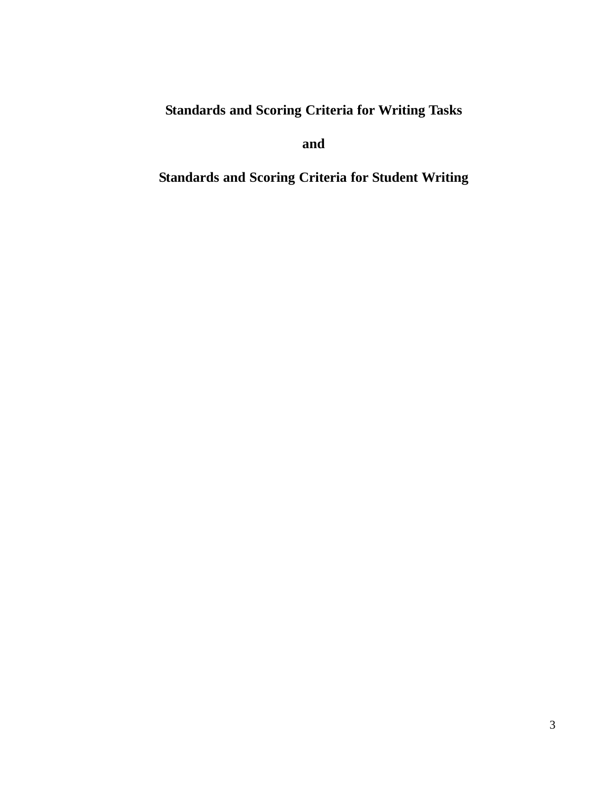**Standards and Scoring Criteria for Writing Tasks**

**and**

**Standards and Scoring Criteria for Student Writing**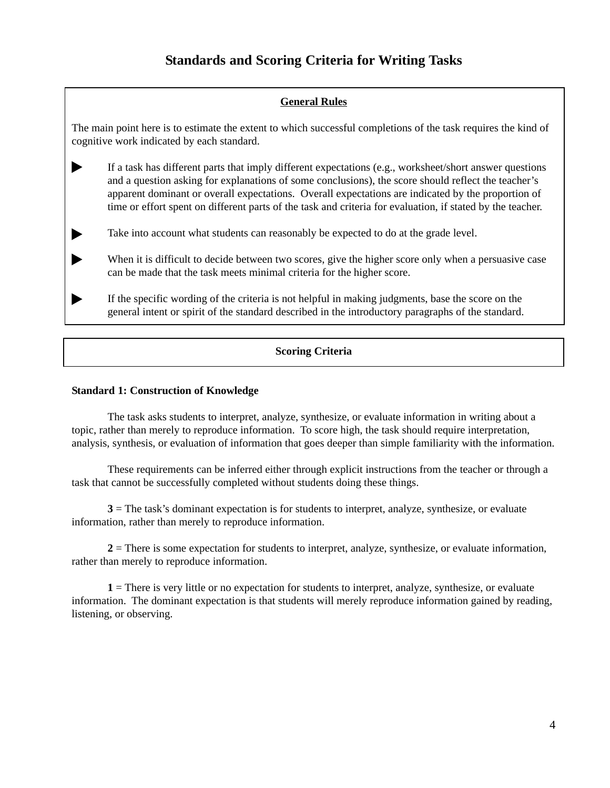## **General Rules**

The main point here is to estimate the extent to which successful completions of the task requires the kind of cognitive work indicated by each standard.

- If a task has different parts that imply different expectations (e.g., worksheet/short answer questions and a question asking for explanations of some conclusions), the score should reflect the teacher's apparent dominant or overall expectations. Overall expectations are indicated by the proportion of time or effort spent on different parts of the task and criteria for evaluation, if stated by the teacher.
- Take into account what students can reasonably be expected to do at the grade level.  $\blacktriangleright$
- $\blacktriangleright$ When it is difficult to decide between two scores, give the higher score only when a persuasive case can be made that the task meets minimal criteria for the higher score.
	- If the specific wording of the criteria is not helpful in making judgments, base the score on the general intent or spirit of the standard described in the introductory paragraphs of the standard.

## **Scoring Criteria**

## **Standard 1: Construction of Knowledge**

 $\blacktriangleright$ 

 $\blacktriangleright$ 

The task asks students to interpret, analyze, synthesize, or evaluate information in writing about a topic, rather than merely to reproduce information. To score high, the task should require interpretation, analysis, synthesis, or evaluation of information that goes deeper than simple familiarity with the information.

These requirements can be inferred either through explicit instructions from the teacher or through a task that cannot be successfully completed without students doing these things.

**3** = The task's dominant expectation is for students to interpret, analyze, synthesize, or evaluate information, rather than merely to reproduce information.

**2** = There is some expectation for students to interpret, analyze, synthesize, or evaluate information, rather than merely to reproduce information.

**1** = There is very little or no expectation for students to interpret, analyze, synthesize, or evaluate information. The dominant expectation is that students will merely reproduce information gained by reading, listening, or observing.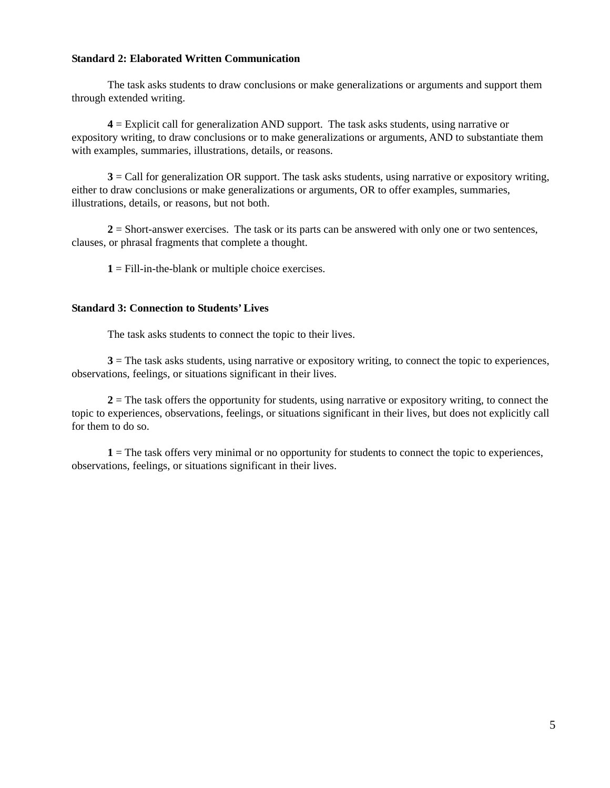#### **Standard 2: Elaborated Written Communication**

The task asks students to draw conclusions or make generalizations or arguments and support them through extended writing.

**4** = Explicit call for generalization AND support. The task asks students, using narrative or expository writing, to draw conclusions or to make generalizations or arguments, AND to substantiate them with examples, summaries, illustrations, details, or reasons.

**3** = Call for generalization OR support. The task asks students, using narrative or expository writing, either to draw conclusions or make generalizations or arguments, OR to offer examples, summaries, illustrations, details, or reasons, but not both.

 $2 =$  Short-answer exercises. The task or its parts can be answered with only one or two sentences, clauses, or phrasal fragments that complete a thought.

 $1 =$  Fill-in-the-blank or multiple choice exercises.

## **Standard 3: Connection to Students' Lives**

The task asks students to connect the topic to their lives.

 $3$  = The task asks students, using narrative or expository writing, to connect the topic to experiences, observations, feelings, or situations significant in their lives.

 $2 =$ The task offers the opportunity for students, using narrative or expository writing, to connect the topic to experiences, observations, feelings, or situations significant in their lives, but does not explicitly call for them to do so.

**1** = The task offers very minimal or no opportunity for students to connect the topic to experiences, observations, feelings, or situations significant in their lives.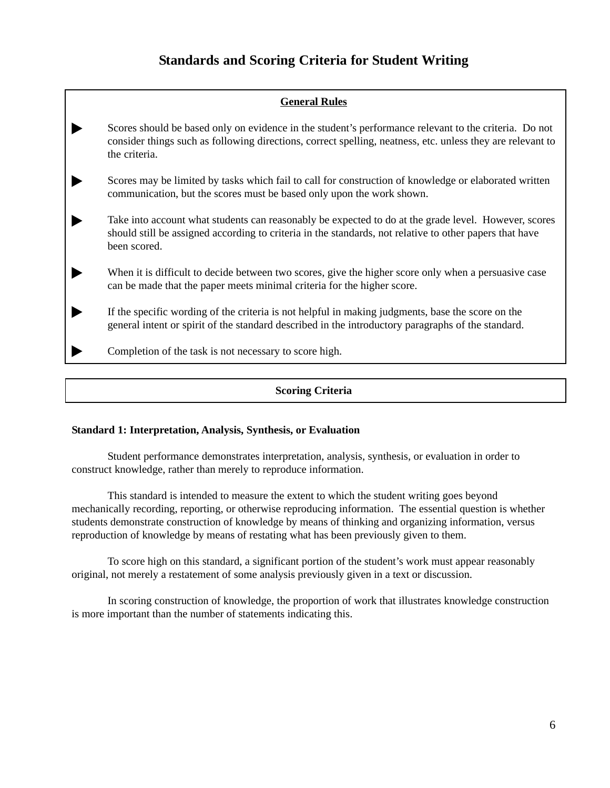| <b>General Rules</b> |                                                                                                                                                                                                                                      |
|----------------------|--------------------------------------------------------------------------------------------------------------------------------------------------------------------------------------------------------------------------------------|
|                      | Scores should be based only on evidence in the student's performance relevant to the criteria. Do not<br>consider things such as following directions, correct spelling, neatness, etc. unless they are relevant to<br>the criteria. |
|                      | Scores may be limited by tasks which fail to call for construction of knowledge or elaborated written<br>communication, but the scores must be based only upon the work shown.                                                       |
|                      | Take into account what students can reasonably be expected to do at the grade level. However, scores<br>should still be assigned according to criteria in the standards, not relative to other papers that have<br>been scored.      |
|                      | When it is difficult to decide between two scores, give the higher score only when a persuasive case<br>can be made that the paper meets minimal criteria for the higher score.                                                      |
|                      | If the specific wording of the criteria is not helpful in making judgments, base the score on the<br>general intent or spirit of the standard described in the introductory paragraphs of the standard.                              |
|                      | Completion of the task is not necessary to score high.                                                                                                                                                                               |
|                      |                                                                                                                                                                                                                                      |

## **Scoring Criteria**

## **Standard 1: Interpretation, Analysis, Synthesis, or Evaluation**

Student performance demonstrates interpretation, analysis, synthesis, or evaluation in order to construct knowledge, rather than merely to reproduce information.

This standard is intended to measure the extent to which the student writing goes beyond mechanically recording, reporting, or otherwise reproducing information. The essential question is whether students demonstrate construction of knowledge by means of thinking and organizing information, versus reproduction of knowledge by means of restating what has been previously given to them.

To score high on this standard, a significant portion of the student's work must appear reasonably original, not merely a restatement of some analysis previously given in a text or discussion.

In scoring construction of knowledge, the proportion of work that illustrates knowledge construction is more important than the number of statements indicating this.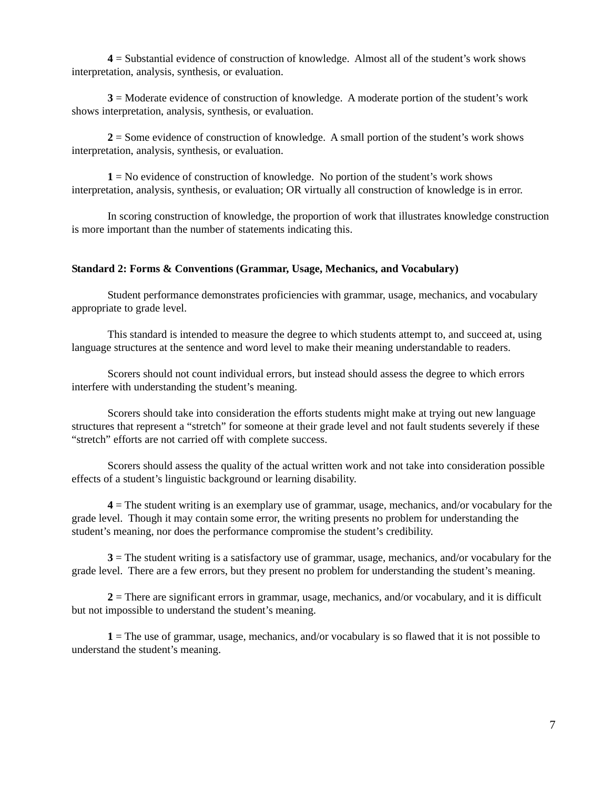**4** = Substantial evidence of construction of knowledge. Almost all of the student's work shows interpretation, analysis, synthesis, or evaluation.

**3** = Moderate evidence of construction of knowledge. A moderate portion of the student's work shows interpretation, analysis, synthesis, or evaluation.

**2** = Some evidence of construction of knowledge. A small portion of the student's work shows interpretation, analysis, synthesis, or evaluation.

**1** = No evidence of construction of knowledge. No portion of the student's work shows interpretation, analysis, synthesis, or evaluation; OR virtually all construction of knowledge is in error.

In scoring construction of knowledge, the proportion of work that illustrates knowledge construction is more important than the number of statements indicating this.

#### **Standard 2: Forms & Conventions (Grammar, Usage, Mechanics, and Vocabulary)**

Student performance demonstrates proficiencies with grammar, usage, mechanics, and vocabulary appropriate to grade level.

This standard is intended to measure the degree to which students attempt to, and succeed at, using language structures at the sentence and word level to make their meaning understandable to readers.

Scorers should not count individual errors, but instead should assess the degree to which errors interfere with understanding the student's meaning.

Scorers should take into consideration the efforts students might make at trying out new language structures that represent a "stretch" for someone at their grade level and not fault students severely if these "stretch" efforts are not carried off with complete success.

Scorers should assess the quality of the actual written work and not take into consideration possible effects of a student's linguistic background or learning disability.

**4** = The student writing is an exemplary use of grammar, usage, mechanics, and/or vocabulary for the grade level. Though it may contain some error, the writing presents no problem for understanding the student's meaning, nor does the performance compromise the student's credibility.

 $3$  = The student writing is a satisfactory use of grammar, usage, mechanics, and/or vocabulary for the grade level. There are a few errors, but they present no problem for understanding the student's meaning.

**2** = There are significant errors in grammar, usage, mechanics, and/or vocabulary, and it is difficult but not impossible to understand the student's meaning.

**1** = The use of grammar, usage, mechanics, and/or vocabulary is so flawed that it is not possible to understand the student's meaning.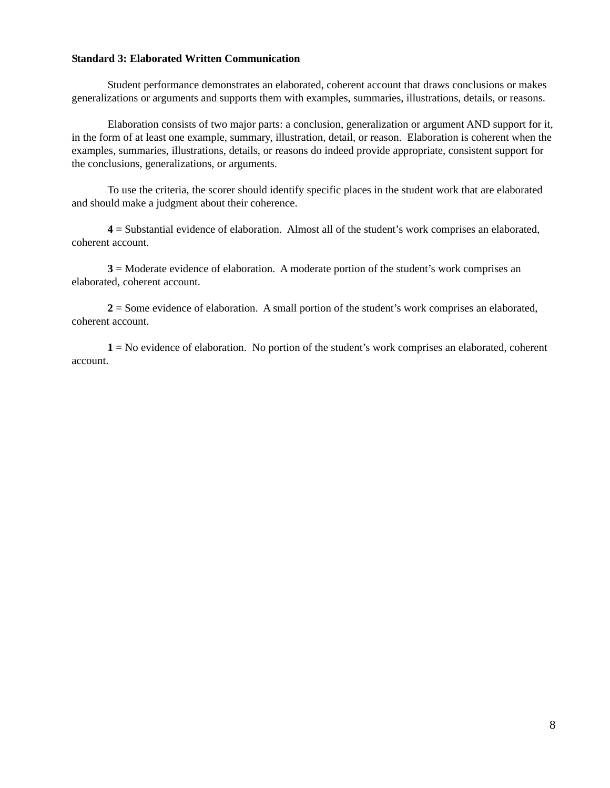#### **Standard 3: Elaborated Written Communication**

Student performance demonstrates an elaborated, coherent account that draws conclusions or makes generalizations or arguments and supports them with examples, summaries, illustrations, details, or reasons.

Elaboration consists of two major parts: a conclusion, generalization or argument AND support for it, in the form of at least one example, summary, illustration, detail, or reason. Elaboration is coherent when the examples, summaries, illustrations, details, or reasons do indeed provide appropriate, consistent support for the conclusions, generalizations, or arguments.

To use the criteria, the scorer should identify specific places in the student work that are elaborated and should make a judgment about their coherence.

**4** = Substantial evidence of elaboration. Almost all of the student's work comprises an elaborated, coherent account.

**3** = Moderate evidence of elaboration. A moderate portion of the student's work comprises an elaborated, coherent account.

**2** = Some evidence of elaboration. A small portion of the student's work comprises an elaborated, coherent account.

**1** = No evidence of elaboration. No portion of the student's work comprises an elaborated, coherent account.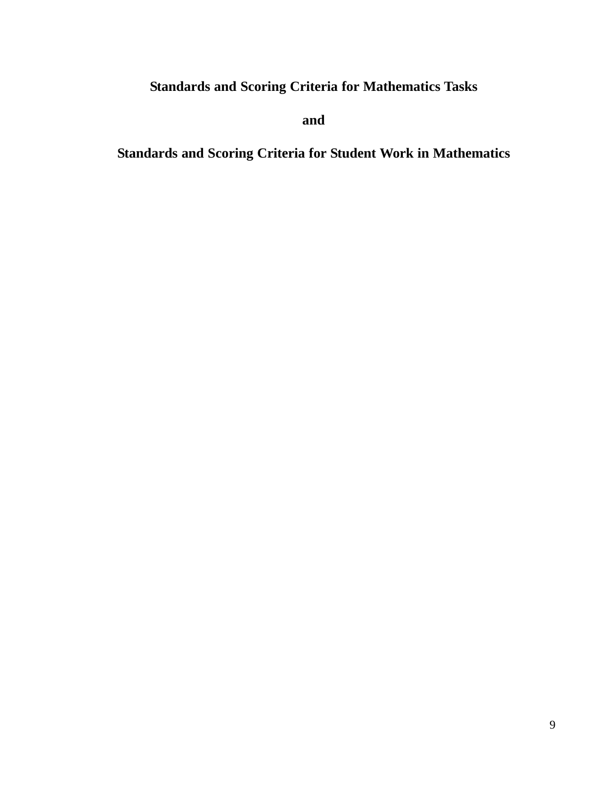# **Standards and Scoring Criteria for Mathematics Tasks**

**and**

**Standards and Scoring Criteria for Student Work in Mathematics**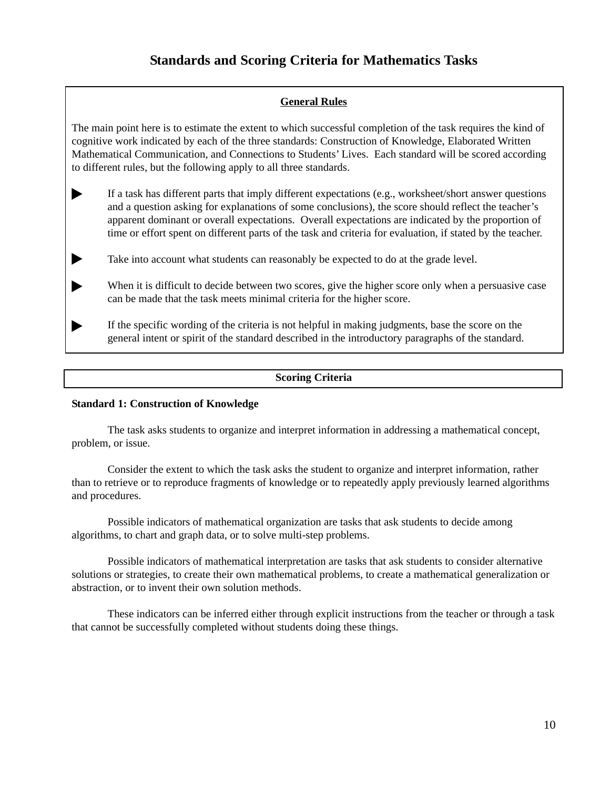## **Standards and Scoring Criteria for Mathematics Tasks**

## **General Rules**

The main point here is to estimate the extent to which successful completion of the task requires the kind of cognitive work indicated by each of the three standards: Construction of Knowledge, Elaborated Written Mathematical Communication, and Connections to Students' Lives. Each standard will be scored according to different rules, but the following apply to all three standards.

 $\blacktriangleright$ If a task has different parts that imply different expectations (e.g., worksheet/short answer questions and a question asking for explanations of some conclusions), the score should reflect the teacher's apparent dominant or overall expectations. Overall expectations are indicated by the proportion of time or effort spent on different parts of the task and criteria for evaluation, if stated by the teacher.

 $\blacktriangleright$ Take into account what students can reasonably be expected to do at the grade level.

- $\blacktriangleright$ When it is difficult to decide between two scores, give the higher score only when a persuasive case can be made that the task meets minimal criteria for the higher score.
- $\blacktriangleright$ If the specific wording of the criteria is not helpful in making judgments, base the score on the general intent or spirit of the standard described in the introductory paragraphs of the standard.

## **Scoring Criteria**

#### **Standard 1: Construction of Knowledge**

The task asks students to organize and interpret information in addressing a mathematical concept, problem, or issue.

Consider the extent to which the task asks the student to organize and interpret information, rather than to retrieve or to reproduce fragments of knowledge or to repeatedly apply previously learned algorithms and procedures.

Possible indicators of mathematical organization are tasks that ask students to decide among algorithms, to chart and graph data, or to solve multi-step problems.

Possible indicators of mathematical interpretation are tasks that ask students to consider alternative solutions or strategies, to create their own mathematical problems, to create a mathematical generalization or abstraction, or to invent their own solution methods.

These indicators can be inferred either through explicit instructions from the teacher or through a task that cannot be successfully completed without students doing these things.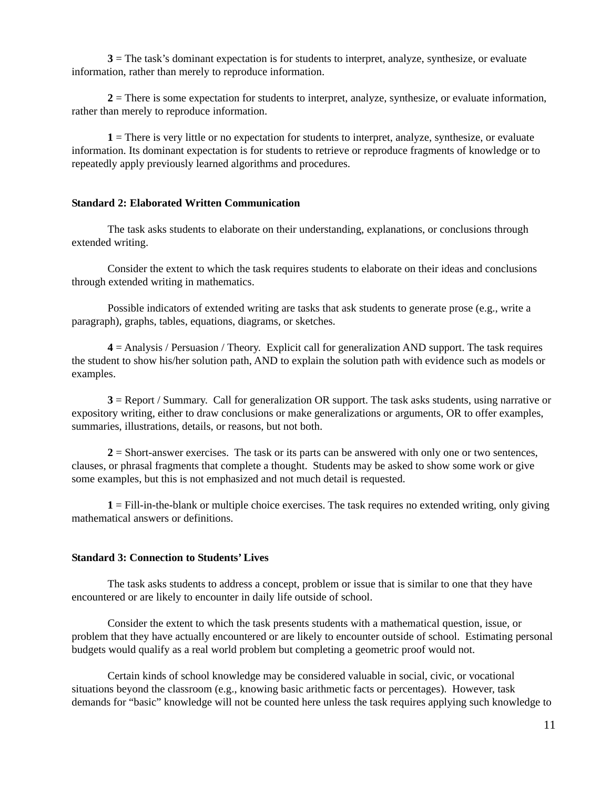**3** = The task's dominant expectation is for students to interpret, analyze, synthesize, or evaluate information, rather than merely to reproduce information.

 $2$  = There is some expectation for students to interpret, analyze, synthesize, or evaluate information, rather than merely to reproduce information.

**1** = There is very little or no expectation for students to interpret, analyze, synthesize, or evaluate information. Its dominant expectation is for students to retrieve or reproduce fragments of knowledge or to repeatedly apply previously learned algorithms and procedures.

## **Standard 2: Elaborated Written Communication**

The task asks students to elaborate on their understanding, explanations, or conclusions through extended writing.

Consider the extent to which the task requires students to elaborate on their ideas and conclusions through extended writing in mathematics.

Possible indicators of extended writing are tasks that ask students to generate prose (e.g., write a paragraph), graphs, tables, equations, diagrams, or sketches.

**4** = Analysis / Persuasion / Theory. Explicit call for generalization AND support. The task requires the student to show his/her solution path, AND to explain the solution path with evidence such as models or examples.

**3** = Report / Summary. Call for generalization OR support. The task asks students, using narrative or expository writing, either to draw conclusions or make generalizations or arguments, OR to offer examples, summaries, illustrations, details, or reasons, but not both.

**2** = Short-answer exercises. The task or its parts can be answered with only one or two sentences, clauses, or phrasal fragments that complete a thought. Students may be asked to show some work or give some examples, but this is not emphasized and not much detail is requested.

**1** = Fill-in-the-blank or multiple choice exercises. The task requires no extended writing, only giving mathematical answers or definitions.

#### **Standard 3: Connection to Students' Lives**

The task asks students to address a concept, problem or issue that is similar to one that they have encountered or are likely to encounter in daily life outside of school.

Consider the extent to which the task presents students with a mathematical question, issue, or problem that they have actually encountered or are likely to encounter outside of school. Estimating personal budgets would qualify as a real world problem but completing a geometric proof would not.

Certain kinds of school knowledge may be considered valuable in social, civic, or vocational situations beyond the classroom (e.g., knowing basic arithmetic facts or percentages). However, task demands for "basic" knowledge will not be counted here unless the task requires applying such knowledge to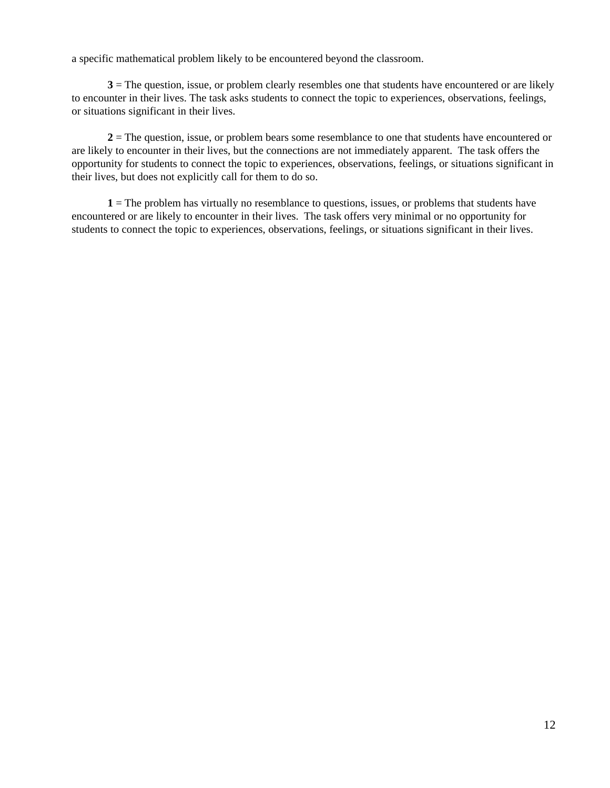a specific mathematical problem likely to be encountered beyond the classroom.

**3** = The question, issue, or problem clearly resembles one that students have encountered or are likely to encounter in their lives. The task asks students to connect the topic to experiences, observations, feelings, or situations significant in their lives.

**2** = The question, issue, or problem bears some resemblance to one that students have encountered or are likely to encounter in their lives, but the connections are not immediately apparent. The task offers the opportunity for students to connect the topic to experiences, observations, feelings, or situations significant in their lives, but does not explicitly call for them to do so.

**1** = The problem has virtually no resemblance to questions, issues, or problems that students have encountered or are likely to encounter in their lives. The task offers very minimal or no opportunity for students to connect the topic to experiences, observations, feelings, or situations significant in their lives.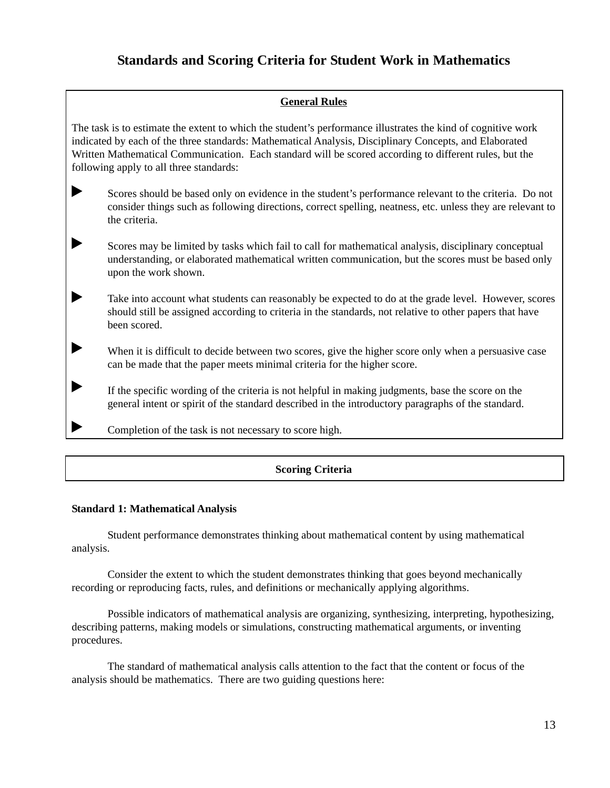## **Standards and Scoring Criteria for Student Work in Mathematics**



## **Scoring Criteria**

## **Standard 1: Mathematical Analysis**

Student performance demonstrates thinking about mathematical content by using mathematical analysis.

Consider the extent to which the student demonstrates thinking that goes beyond mechanically recording or reproducing facts, rules, and definitions or mechanically applying algorithms.

Possible indicators of mathematical analysis are organizing, synthesizing, interpreting, hypothesizing, describing patterns, making models or simulations, constructing mathematical arguments, or inventing procedures.

The standard of mathematical analysis calls attention to the fact that the content or focus of the analysis should be mathematics. There are two guiding questions here: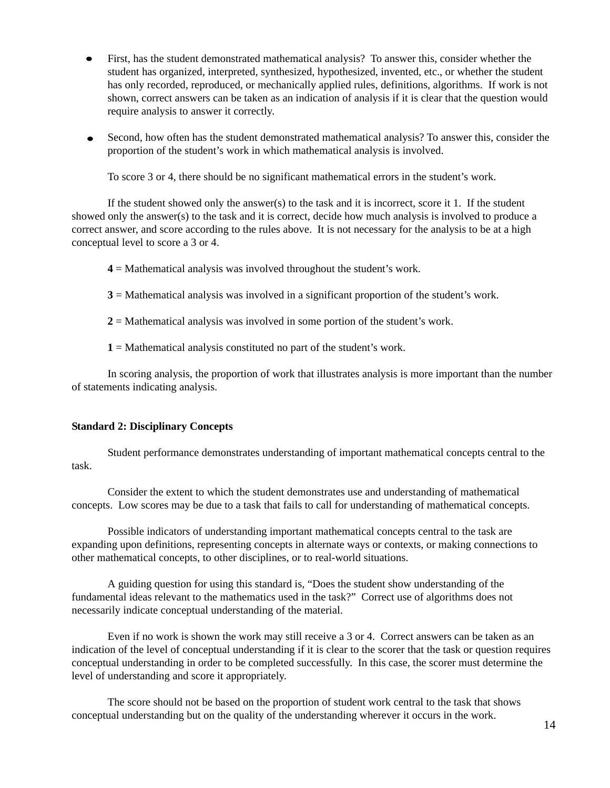- First, has the student demonstrated mathematical analysis? To answer this, consider whether the student has organized, interpreted, synthesized, hypothesized, invented, etc., or whether the student has only recorded, reproduced, or mechanically applied rules, definitions, algorithms. If work is not shown, correct answers can be taken as an indication of analysis if it is clear that the question would require analysis to answer it correctly.
- Second, how often has the student demonstrated mathematical analysis? To answer this, consider the proportion of the student's work in which mathematical analysis is involved.

To score 3 or 4, there should be no significant mathematical errors in the student's work.

If the student showed only the answer(s) to the task and it is incorrect, score it 1. If the student showed only the answer(s) to the task and it is correct, decide how much analysis is involved to produce a correct answer, and score according to the rules above. It is not necessary for the analysis to be at a high conceptual level to score a 3 or 4.

**4** = Mathematical analysis was involved throughout the student's work.

**3** = Mathematical analysis was involved in a significant proportion of the student's work.

**2** = Mathematical analysis was involved in some portion of the student's work.

**1** = Mathematical analysis constituted no part of the student's work.

In scoring analysis, the proportion of work that illustrates analysis is more important than the number of statements indicating analysis.

#### **Standard 2: Disciplinary Concepts**

Student performance demonstrates understanding of important mathematical concepts central to the task.

Consider the extent to which the student demonstrates use and understanding of mathematical concepts. Low scores may be due to a task that fails to call for understanding of mathematical concepts.

Possible indicators of understanding important mathematical concepts central to the task are expanding upon definitions, representing concepts in alternate ways or contexts, or making connections to other mathematical concepts, to other disciplines, or to real-world situations.

A guiding question for using this standard is, "Does the student show understanding of the fundamental ideas relevant to the mathematics used in the task?" Correct use of algorithms does not necessarily indicate conceptual understanding of the material.

Even if no work is shown the work may still receive a 3 or 4. Correct answers can be taken as an indication of the level of conceptual understanding if it is clear to the scorer that the task or question requires conceptual understanding in order to be completed successfully. In this case, the scorer must determine the level of understanding and score it appropriately.

The score should not be based on the proportion of student work central to the task that shows conceptual understanding but on the quality of the understanding wherever it occurs in the work.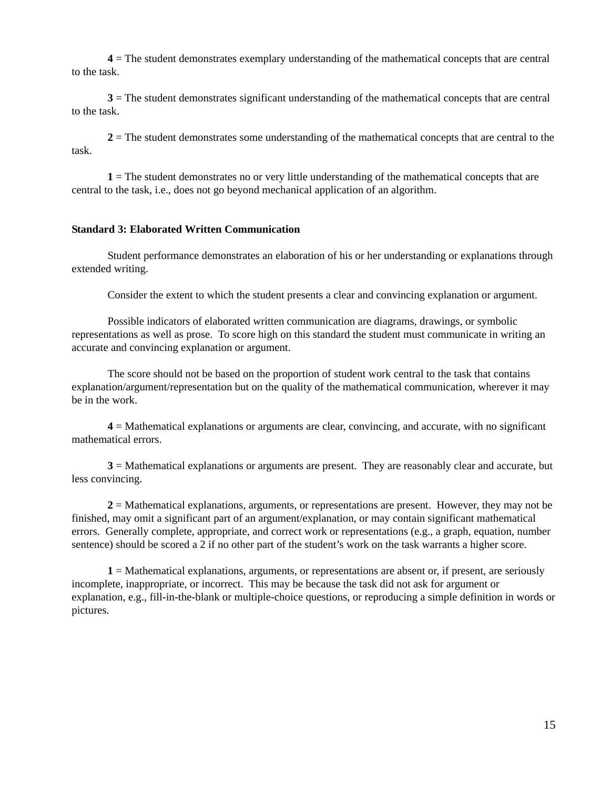**4** = The student demonstrates exemplary understanding of the mathematical concepts that are central to the task.

**3** = The student demonstrates significant understanding of the mathematical concepts that are central to the task.

**2** = The student demonstrates some understanding of the mathematical concepts that are central to the task.

**1** = The student demonstrates no or very little understanding of the mathematical concepts that are central to the task, i.e., does not go beyond mechanical application of an algorithm.

## **Standard 3: Elaborated Written Communication**

Student performance demonstrates an elaboration of his or her understanding or explanations through extended writing.

Consider the extent to which the student presents a clear and convincing explanation or argument.

Possible indicators of elaborated written communication are diagrams, drawings, or symbolic representations as well as prose. To score high on this standard the student must communicate in writing an accurate and convincing explanation or argument.

The score should not be based on the proportion of student work central to the task that contains explanation/argument/representation but on the quality of the mathematical communication, wherever it may be in the work.

**4** = Mathematical explanations or arguments are clear, convincing, and accurate, with no significant mathematical errors.

**3** = Mathematical explanations or arguments are present. They are reasonably clear and accurate, but less convincing.

**2** = Mathematical explanations, arguments, or representations are present. However, they may not be finished, may omit a significant part of an argument/explanation, or may contain significant mathematical errors. Generally complete, appropriate, and correct work or representations (e.g., a graph, equation, number sentence) should be scored a 2 if no other part of the student's work on the task warrants a higher score.

**1** = Mathematical explanations, arguments, or representations are absent or, if present, are seriously incomplete, inappropriate, or incorrect. This may be because the task did not ask for argument or explanation, e.g., fill-in-the-blank or multiple-choice questions, or reproducing a simple definition in words or pictures.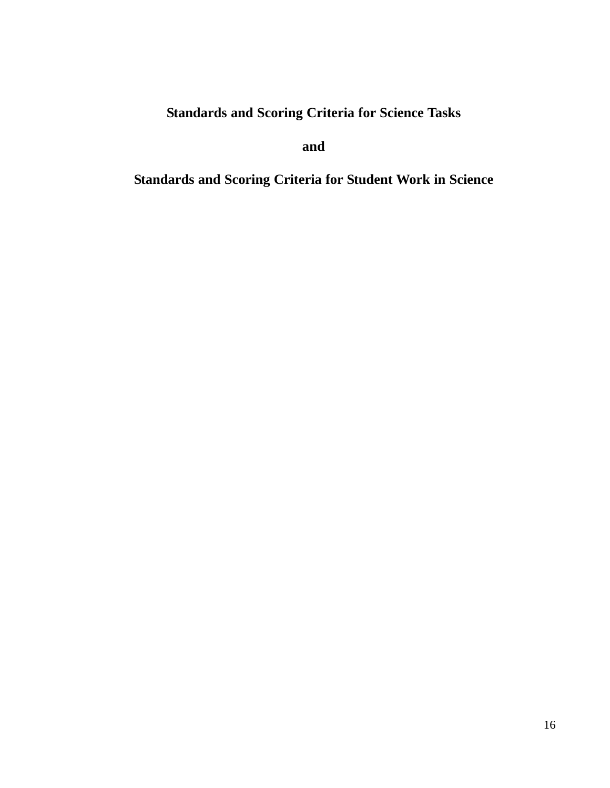# **Standards and Scoring Criteria for Science Tasks**

**and**

**Standards and Scoring Criteria for Student Work in Science**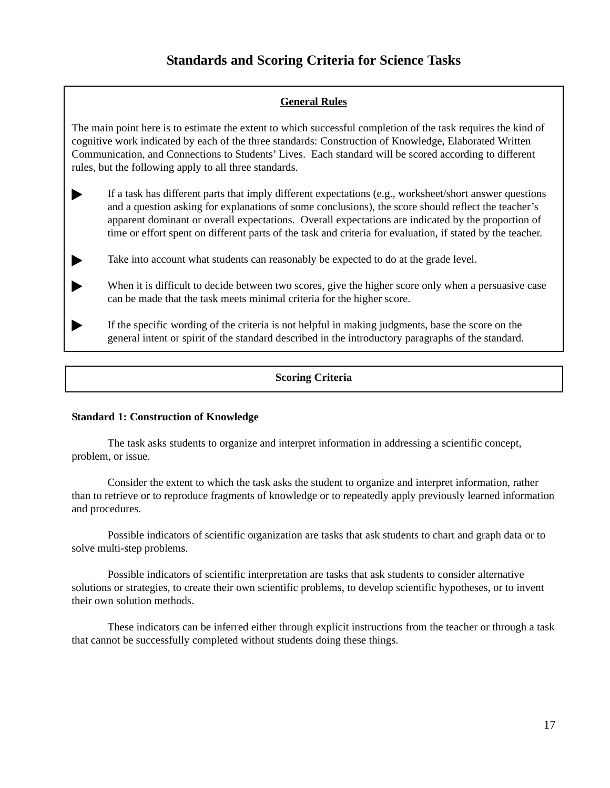## **General Rules**

The main point here is to estimate the extent to which successful completion of the task requires the kind of cognitive work indicated by each of the three standards: Construction of Knowledge, Elaborated Written Communication, and Connections to Students' Lives. Each standard will be scored according to different rules, but the following apply to all three standards.

If a task has different parts that imply different expectations (e.g., worksheet/short answer questions  $\blacktriangleright$ and a question asking for explanations of some conclusions), the score should reflect the teacher's apparent dominant or overall expectations. Overall expectations are indicated by the proportion of time or effort spent on different parts of the task and criteria for evaluation, if stated by the teacher.

Take into account what students can reasonably be expected to do at the grade level.  $\blacktriangleright$ 

- $\blacktriangleright$ When it is difficult to decide between two scores, give the higher score only when a persuasive case can be made that the task meets minimal criteria for the higher score.
- $\blacktriangleright$ If the specific wording of the criteria is not helpful in making judgments, base the score on the general intent or spirit of the standard described in the introductory paragraphs of the standard.

## **Scoring Criteria**

## **Standard 1: Construction of Knowledge**

The task asks students to organize and interpret information in addressing a scientific concept, problem, or issue.

Consider the extent to which the task asks the student to organize and interpret information, rather than to retrieve or to reproduce fragments of knowledge or to repeatedly apply previously learned information and procedures.

Possible indicators of scientific organization are tasks that ask students to chart and graph data or to solve multi-step problems.

Possible indicators of scientific interpretation are tasks that ask students to consider alternative solutions or strategies, to create their own scientific problems, to develop scientific hypotheses, or to invent their own solution methods.

These indicators can be inferred either through explicit instructions from the teacher or through a task that cannot be successfully completed without students doing these things.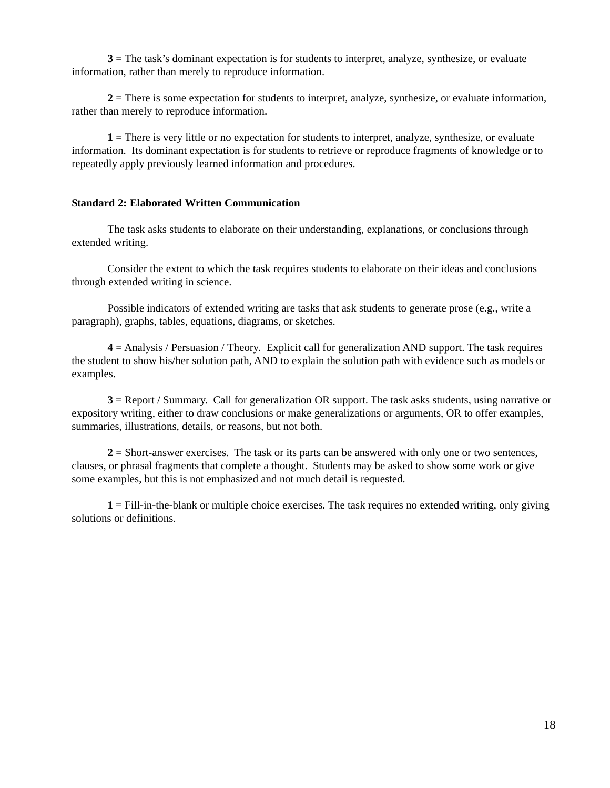**3** = The task's dominant expectation is for students to interpret, analyze, synthesize, or evaluate information, rather than merely to reproduce information.

 $2$  = There is some expectation for students to interpret, analyze, synthesize, or evaluate information, rather than merely to reproduce information.

**1** = There is very little or no expectation for students to interpret, analyze, synthesize, or evaluate information. Its dominant expectation is for students to retrieve or reproduce fragments of knowledge or to repeatedly apply previously learned information and procedures.

## **Standard 2: Elaborated Written Communication**

The task asks students to elaborate on their understanding, explanations, or conclusions through extended writing.

Consider the extent to which the task requires students to elaborate on their ideas and conclusions through extended writing in science.

Possible indicators of extended writing are tasks that ask students to generate prose (e.g., write a paragraph), graphs, tables, equations, diagrams, or sketches.

**4** = Analysis / Persuasion / Theory. Explicit call for generalization AND support. The task requires the student to show his/her solution path, AND to explain the solution path with evidence such as models or examples.

**3** = Report / Summary. Call for generalization OR support. The task asks students, using narrative or expository writing, either to draw conclusions or make generalizations or arguments, OR to offer examples, summaries, illustrations, details, or reasons, but not both.

**2** = Short-answer exercises. The task or its parts can be answered with only one or two sentences, clauses, or phrasal fragments that complete a thought. Students may be asked to show some work or give some examples, but this is not emphasized and not much detail is requested.

**1** = Fill-in-the-blank or multiple choice exercises. The task requires no extended writing, only giving solutions or definitions.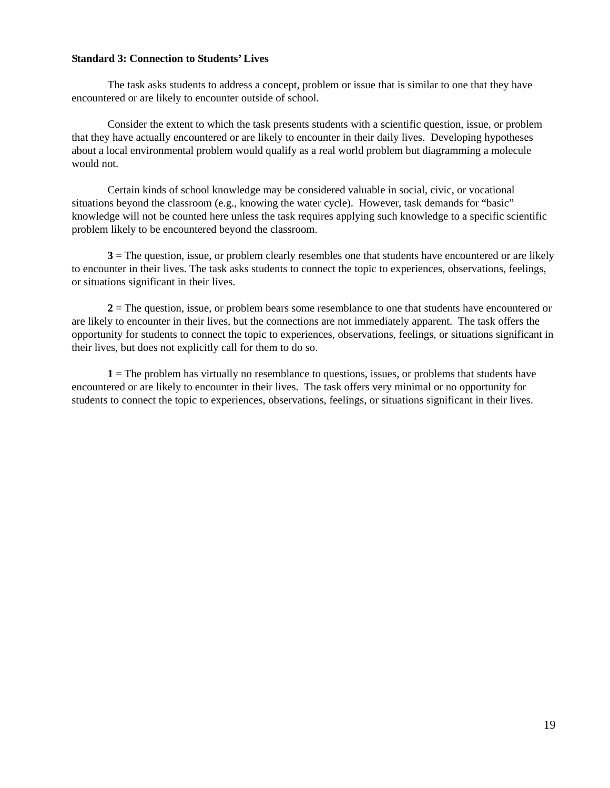#### **Standard 3: Connection to Students' Lives**

The task asks students to address a concept, problem or issue that is similar to one that they have encountered or are likely to encounter outside of school.

Consider the extent to which the task presents students with a scientific question, issue, or problem that they have actually encountered or are likely to encounter in their daily lives. Developing hypotheses about a local environmental problem would qualify as a real world problem but diagramming a molecule would not.

Certain kinds of school knowledge may be considered valuable in social, civic, or vocational situations beyond the classroom (e.g., knowing the water cycle). However, task demands for "basic" knowledge will not be counted here unless the task requires applying such knowledge to a specific scientific problem likely to be encountered beyond the classroom.

**3** = The question, issue, or problem clearly resembles one that students have encountered or are likely to encounter in their lives. The task asks students to connect the topic to experiences, observations, feelings, or situations significant in their lives.

**2** = The question, issue, or problem bears some resemblance to one that students have encountered or are likely to encounter in their lives, but the connections are not immediately apparent. The task offers the opportunity for students to connect the topic to experiences, observations, feelings, or situations significant in their lives, but does not explicitly call for them to do so.

**1** = The problem has virtually no resemblance to questions, issues, or problems that students have encountered or are likely to encounter in their lives. The task offers very minimal or no opportunity for students to connect the topic to experiences, observations, feelings, or situations significant in their lives.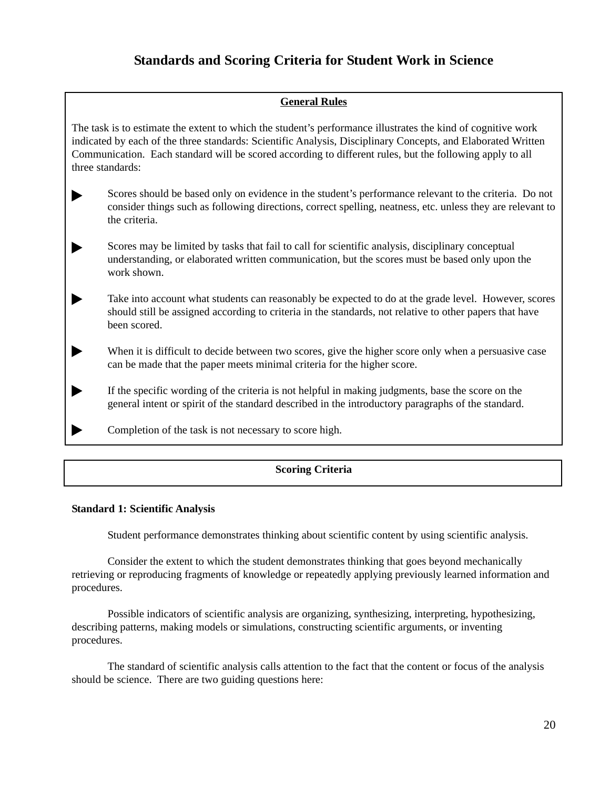# **Standards and Scoring Criteria for Student Work in Science**



## **Scoring Criteria**

## **Standard 1: Scientific Analysis**

Student performance demonstrates thinking about scientific content by using scientific analysis.

Consider the extent to which the student demonstrates thinking that goes beyond mechanically retrieving or reproducing fragments of knowledge or repeatedly applying previously learned information and procedures.

Possible indicators of scientific analysis are organizing, synthesizing, interpreting, hypothesizing, describing patterns, making models or simulations, constructing scientific arguments, or inventing procedures.

The standard of scientific analysis calls attention to the fact that the content or focus of the analysis should be science. There are two guiding questions here: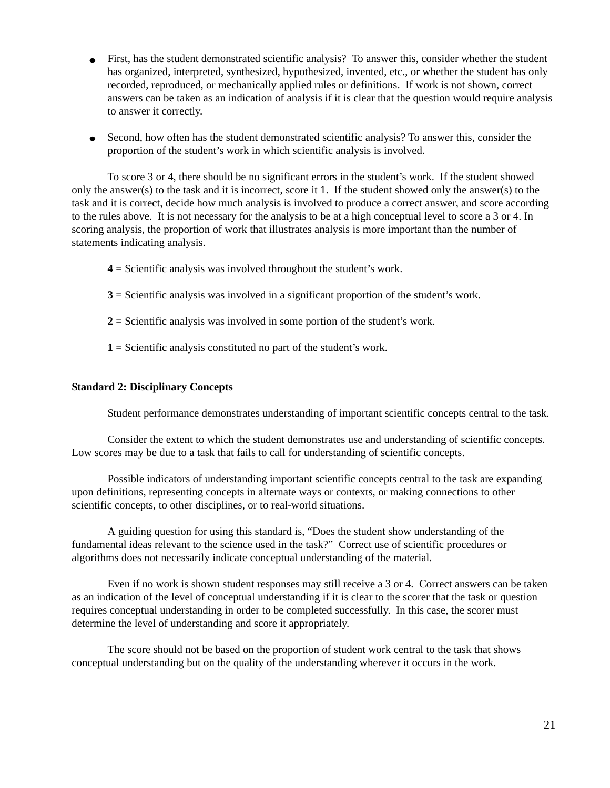- First, has the student demonstrated scientific analysis? To answer this, consider whether the student has organized, interpreted, synthesized, hypothesized, invented, etc., or whether the student has only recorded, reproduced, or mechanically applied rules or definitions. If work is not shown, correct answers can be taken as an indication of analysis if it is clear that the question would require analysis to answer it correctly.
- Second, how often has the student demonstrated scientific analysis? To answer this, consider the proportion of the student's work in which scientific analysis is involved.

To score 3 or 4, there should be no significant errors in the student's work. If the student showed only the answer(s) to the task and it is incorrect, score it 1. If the student showed only the answer(s) to the task and it is correct, decide how much analysis is involved to produce a correct answer, and score according to the rules above. It is not necessary for the analysis to be at a high conceptual level to score a 3 or 4. In scoring analysis, the proportion of work that illustrates analysis is more important than the number of statements indicating analysis.

**4** = Scientific analysis was involved throughout the student's work.

**3** = Scientific analysis was involved in a significant proportion of the student's work.

**2** = Scientific analysis was involved in some portion of the student's work.

**1** = Scientific analysis constituted no part of the student's work.

## **Standard 2: Disciplinary Concepts**

Student performance demonstrates understanding of important scientific concepts central to the task.

Consider the extent to which the student demonstrates use and understanding of scientific concepts. Low scores may be due to a task that fails to call for understanding of scientific concepts.

Possible indicators of understanding important scientific concepts central to the task are expanding upon definitions, representing concepts in alternate ways or contexts, or making connections to other scientific concepts, to other disciplines, or to real-world situations.

A guiding question for using this standard is, "Does the student show understanding of the fundamental ideas relevant to the science used in the task?" Correct use of scientific procedures or algorithms does not necessarily indicate conceptual understanding of the material.

Even if no work is shown student responses may still receive a 3 or 4. Correct answers can be taken as an indication of the level of conceptual understanding if it is clear to the scorer that the task or question requires conceptual understanding in order to be completed successfully. In this case, the scorer must determine the level of understanding and score it appropriately.

The score should not be based on the proportion of student work central to the task that shows conceptual understanding but on the quality of the understanding wherever it occurs in the work.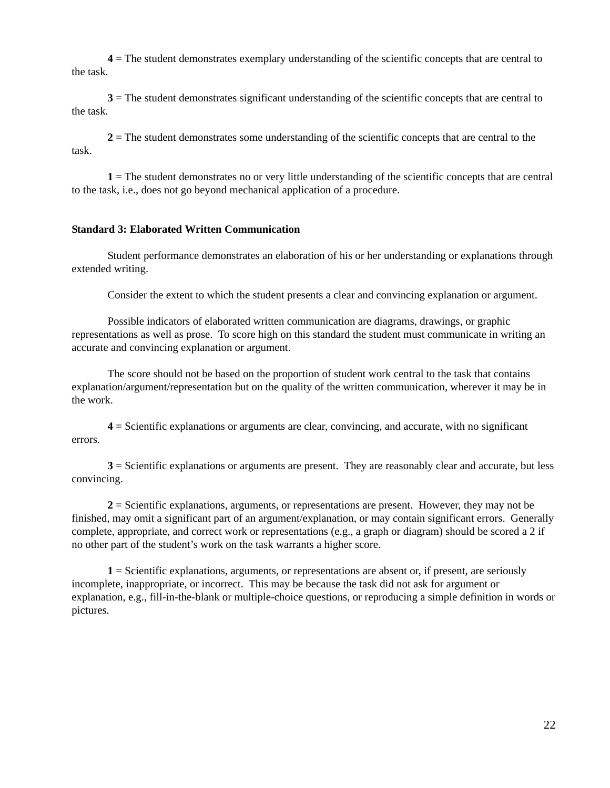**4** = The student demonstrates exemplary understanding of the scientific concepts that are central to the task.

**3** = The student demonstrates significant understanding of the scientific concepts that are central to the task.

**2** = The student demonstrates some understanding of the scientific concepts that are central to the task.

**1** = The student demonstrates no or very little understanding of the scientific concepts that are central to the task, i.e., does not go beyond mechanical application of a procedure.

## **Standard 3: Elaborated Written Communication**

Student performance demonstrates an elaboration of his or her understanding or explanations through extended writing.

Consider the extent to which the student presents a clear and convincing explanation or argument.

Possible indicators of elaborated written communication are diagrams, drawings, or graphic representations as well as prose. To score high on this standard the student must communicate in writing an accurate and convincing explanation or argument.

The score should not be based on the proportion of student work central to the task that contains explanation/argument/representation but on the quality of the written communication, wherever it may be in the work.

**4** = Scientific explanations or arguments are clear, convincing, and accurate, with no significant errors.

**3** = Scientific explanations or arguments are present. They are reasonably clear and accurate, but less convincing.

**2** = Scientific explanations, arguments, or representations are present. However, they may not be finished, may omit a significant part of an argument/explanation, or may contain significant errors. Generally complete, appropriate, and correct work or representations (e.g., a graph or diagram) should be scored a 2 if no other part of the student's work on the task warrants a higher score.

**1** = Scientific explanations, arguments, or representations are absent or, if present, are seriously incomplete, inappropriate, or incorrect. This may be because the task did not ask for argument or explanation, e.g., fill-in-the-blank or multiple-choice questions, or reproducing a simple definition in words or pictures.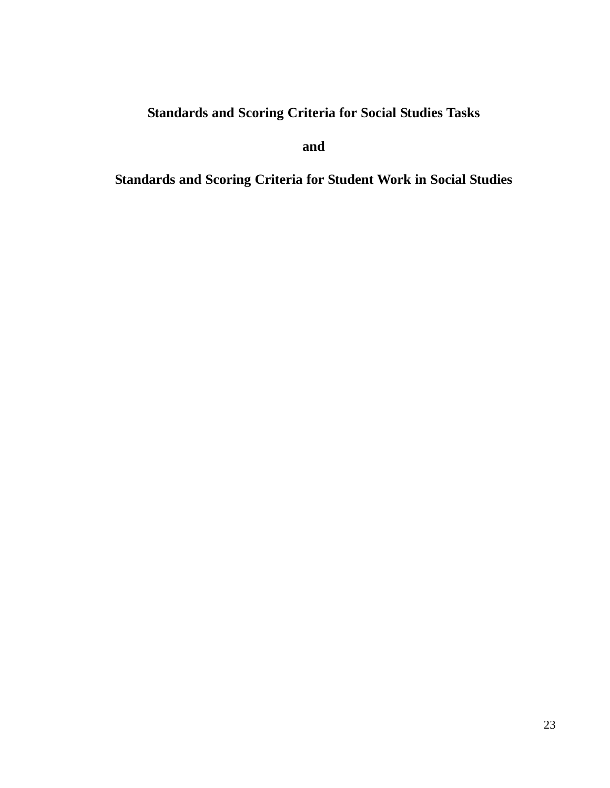# **Standards and Scoring Criteria for Social Studies Tasks**

**and**

**Standards and Scoring Criteria for Student Work in Social Studies**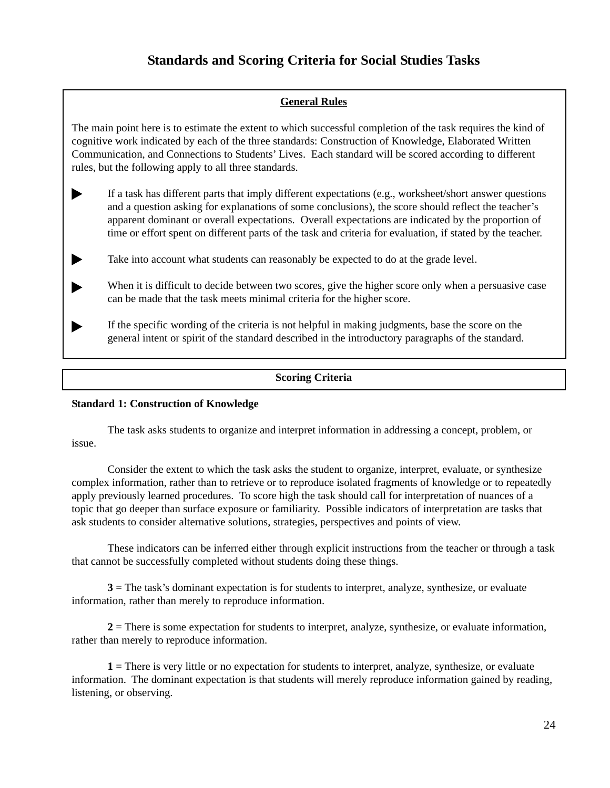## **General Rules**

The main point here is to estimate the extent to which successful completion of the task requires the kind of cognitive work indicated by each of the three standards: Construction of Knowledge, Elaborated Written Communication, and Connections to Students' Lives. Each standard will be scored according to different rules, but the following apply to all three standards.

 $\blacktriangleright$ If a task has different parts that imply different expectations (e.g., worksheet/short answer questions and a question asking for explanations of some conclusions), the score should reflect the teacher's apparent dominant or overall expectations. Overall expectations are indicated by the proportion of time or effort spent on different parts of the task and criteria for evaluation, if stated by the teacher.

 $\blacktriangleright$ Take into account what students can reasonably be expected to do at the grade level.

- $\blacktriangleright$ When it is difficult to decide between two scores, give the higher score only when a persuasive case can be made that the task meets minimal criteria for the higher score.
- $\blacktriangleright$ If the specific wording of the criteria is not helpful in making judgments, base the score on the general intent or spirit of the standard described in the introductory paragraphs of the standard.

## **Scoring Criteria**

## **Standard 1: Construction of Knowledge**

The task asks students to organize and interpret information in addressing a concept, problem, or issue.

Consider the extent to which the task asks the student to organize, interpret, evaluate, or synthesize complex information, rather than to retrieve or to reproduce isolated fragments of knowledge or to repeatedly apply previously learned procedures. To score high the task should call for interpretation of nuances of a topic that go deeper than surface exposure or familiarity. Possible indicators of interpretation are tasks that ask students to consider alternative solutions, strategies, perspectives and points of view.

These indicators can be inferred either through explicit instructions from the teacher or through a task that cannot be successfully completed without students doing these things.

**3** = The task's dominant expectation is for students to interpret, analyze, synthesize, or evaluate information, rather than merely to reproduce information.

 $2$  = There is some expectation for students to interpret, analyze, synthesize, or evaluate information, rather than merely to reproduce information.

**1** = There is very little or no expectation for students to interpret, analyze, synthesize, or evaluate information. The dominant expectation is that students will merely reproduce information gained by reading, listening, or observing.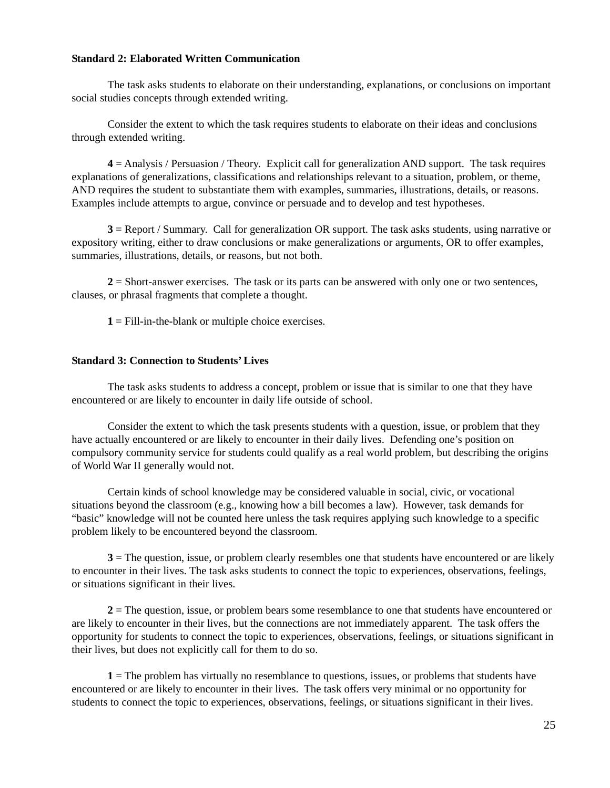#### **Standard 2: Elaborated Written Communication**

The task asks students to elaborate on their understanding, explanations, or conclusions on important social studies concepts through extended writing.

Consider the extent to which the task requires students to elaborate on their ideas and conclusions through extended writing.

**4** = Analysis / Persuasion / Theory. Explicit call for generalization AND support. The task requires explanations of generalizations, classifications and relationships relevant to a situation, problem, or theme, AND requires the student to substantiate them with examples, summaries, illustrations, details, or reasons. Examples include attempts to argue, convince or persuade and to develop and test hypotheses.

**3** = Report / Summary. Call for generalization OR support. The task asks students, using narrative or expository writing, either to draw conclusions or make generalizations or arguments, OR to offer examples, summaries, illustrations, details, or reasons, but not both.

**2** = Short-answer exercises. The task or its parts can be answered with only one or two sentences, clauses, or phrasal fragments that complete a thought.

 $1 =$  Fill-in-the-blank or multiple choice exercises.

## **Standard 3: Connection to Students' Lives**

The task asks students to address a concept, problem or issue that is similar to one that they have encountered or are likely to encounter in daily life outside of school.

Consider the extent to which the task presents students with a question, issue, or problem that they have actually encountered or are likely to encounter in their daily lives. Defending one's position on compulsory community service for students could qualify as a real world problem, but describing the origins of World War II generally would not.

Certain kinds of school knowledge may be considered valuable in social, civic, or vocational situations beyond the classroom (e.g., knowing how a bill becomes a law). However, task demands for "basic" knowledge will not be counted here unless the task requires applying such knowledge to a specific problem likely to be encountered beyond the classroom.

**3** = The question, issue, or problem clearly resembles one that students have encountered or are likely to encounter in their lives. The task asks students to connect the topic to experiences, observations, feelings, or situations significant in their lives.

**2** = The question, issue, or problem bears some resemblance to one that students have encountered or are likely to encounter in their lives, but the connections are not immediately apparent. The task offers the opportunity for students to connect the topic to experiences, observations, feelings, or situations significant in their lives, but does not explicitly call for them to do so.

**1** = The problem has virtually no resemblance to questions, issues, or problems that students have encountered or are likely to encounter in their lives. The task offers very minimal or no opportunity for students to connect the topic to experiences, observations, feelings, or situations significant in their lives.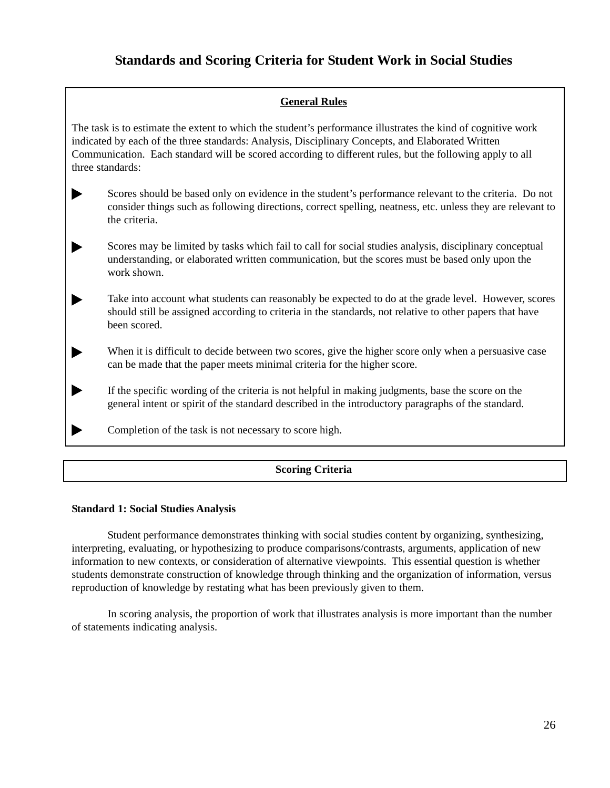## **Standards and Scoring Criteria for Student Work in Social Studies**



## **Scoring Criteria**

## **Standard 1: Social Studies Analysis**

Student performance demonstrates thinking with social studies content by organizing, synthesizing, interpreting, evaluating, or hypothesizing to produce comparisons/contrasts, arguments, application of new information to new contexts, or consideration of alternative viewpoints. This essential question is whether students demonstrate construction of knowledge through thinking and the organization of information, versus reproduction of knowledge by restating what has been previously given to them.

In scoring analysis, the proportion of work that illustrates analysis is more important than the number of statements indicating analysis.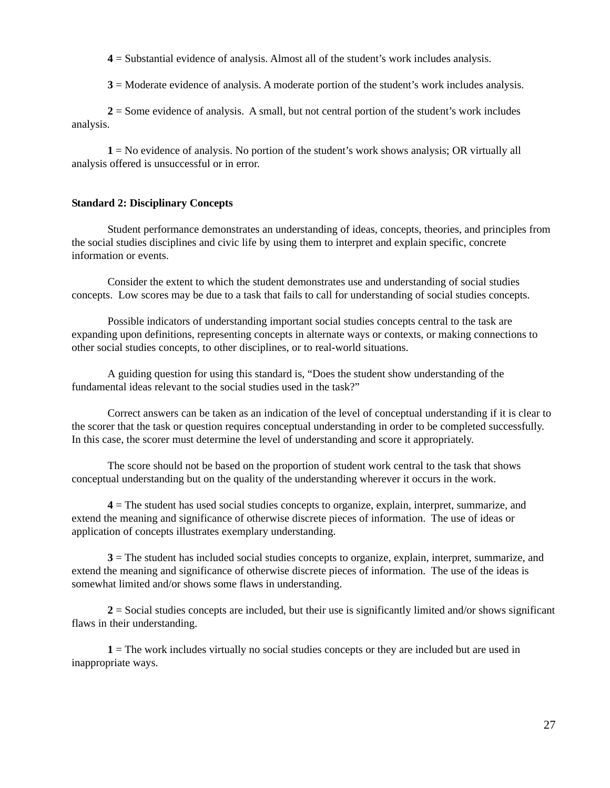**4** = Substantial evidence of analysis. Almost all of the student's work includes analysis.

**3** = Moderate evidence of analysis. A moderate portion of the student's work includes analysis.

**2** = Some evidence of analysis. A small, but not central portion of the student's work includes analysis.

**1** = No evidence of analysis. No portion of the student's work shows analysis; OR virtually all analysis offered is unsuccessful or in error.

#### **Standard 2: Disciplinary Concepts**

Student performance demonstrates an understanding of ideas, concepts, theories, and principles from the social studies disciplines and civic life by using them to interpret and explain specific, concrete information or events.

Consider the extent to which the student demonstrates use and understanding of social studies concepts. Low scores may be due to a task that fails to call for understanding of social studies concepts.

Possible indicators of understanding important social studies concepts central to the task are expanding upon definitions, representing concepts in alternate ways or contexts, or making connections to other social studies concepts, to other disciplines, or to real-world situations.

A guiding question for using this standard is, "Does the student show understanding of the fundamental ideas relevant to the social studies used in the task?"

Correct answers can be taken as an indication of the level of conceptual understanding if it is clear to the scorer that the task or question requires conceptual understanding in order to be completed successfully. In this case, the scorer must determine the level of understanding and score it appropriately.

The score should not be based on the proportion of student work central to the task that shows conceptual understanding but on the quality of the understanding wherever it occurs in the work.

**4** = The student has used social studies concepts to organize, explain, interpret, summarize, and extend the meaning and significance of otherwise discrete pieces of information. The use of ideas or application of concepts illustrates exemplary understanding.

**3** = The student has included social studies concepts to organize, explain, interpret, summarize, and extend the meaning and significance of otherwise discrete pieces of information. The use of the ideas is somewhat limited and/or shows some flaws in understanding.

**2** = Social studies concepts are included, but their use is significantly limited and/or shows significant flaws in their understanding.

**1** = The work includes virtually no social studies concepts or they are included but are used in inappropriate ways.